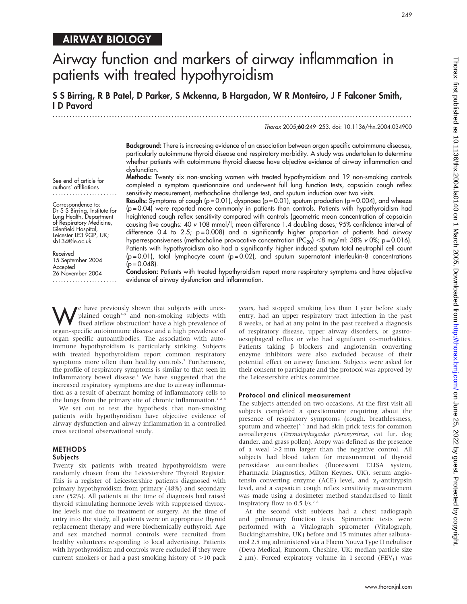# AIRWAY BIOLOGY

# Airway function and markers of airway inflammation in patients with treated hypothyroidism

S S Birring, R B Patel, D Parker, S Mckenna, B Hargadon, W R Monteiro, J F Falconer Smith, I D Pavord

...............................................................................................................................

Thorax 2005;60:249–253. doi: 10.1136/thx.2004.034900

Background: There is increasing evidence of an association between organ specific autoimmune diseases, particularly autoimmune thyroid disease and respiratory morbidity. A study was undertaken to determine whether patients with autoimmune thyroid disease have objective evidence of airway inflammation and dysfunction. Methods: Twenty six non-smoking women with treated hypothyroidism and 19 non-smoking controls

completed a symptom questionnaire and underwent full lung function tests, capsaicin cough reflex

See end of article for authors' affiliations .......................

Correspondence to: Dr S S Birring, Institute for Lung Health, Department of Respiratory Medicine, Glenfield Hospital, Leicester LE3 9QP, UK; sb134@le.ac.uk

Received 15 September 2004 Accepted 26 November 2004 ....................... sensitivity measurement, methacholine challenge test, and sputum induction over two visits. **Results:** Symptoms of cough ( $p = 0.01$ ), dyspnoea ( $p = 0.01$ ), sputum production ( $p = 0.004$ ), and wheeze (p = 0.04) were reported more commonly in patients than controls. Patients with hypothyroidism had heightened cough reflex sensitivity compared with controls (geometric mean concentration of capsaicin causing five coughs: 40 v 108 mmol/l; mean difference 1.4 doubling doses; 95% confidence interval of difference 0.4 to 2.5;  $p = 0.008$ ) and a significantly higher proportion of patients had airway hyperresponsiveness (methacholine provocative concentration  $(PC_{20})$  <8 mg/ml: 38% v 0%; p = 0.016). Patients with hypothyroidism also had a significantly higher induced sputum total neutrophil cell count  $(p=0.01)$ , total lymphocyte count  $(p=0.02)$ , and sputum supernatant interleukin-8 concentrations

 $(p = 0.048)$ . Conclusion: Patients with treated hypothyroidism report more respiratory symptoms and have objective evidence of airway dysfunction and inflammation.

We have previously shown that subjects with unex-<br>fixed airflow obstruction<sup>4</sup> have a high prevalence of<br>exten engelie subjectively allocated a high prevalence of plained cough $1-3$  and non-smoking subjects with organ-specific autoimmune disease and a high prevalence of organ specific autoantibodies. The association with autoimmune hypothyroidism is particularly striking. Subjects with treated hypothyroidism report common respiratory symptoms more often than healthy controls.<sup>5</sup> Furthermore, the profile of respiratory symptoms is similar to that seen in inflammatory bowel disease.<sup>5</sup> We have suggested that the increased respiratory symptoms are due to airway inflammation as a result of aberrant homing of inflammatory cells to the lungs from the primary site of chronic inflammation.<sup>124</sup>

We set out to test the hypothesis that non-smoking patients with hypothyroidism have objective evidence of airway dysfunction and airway inflammation in a controlled cross sectional observational study.

#### METHODS

#### Subjects

Twenty six patients with treated hypothyroidism were randomly chosen from the Leicestershire Thyroid Register. This is a register of Leicestershire patients diagnosed with primary hypothyroidism from primary (48%) and secondary care (52%). All patients at the time of diagnosis had raised thyroid stimulating hormone levels with suppressed thyroxine levels not due to treatment or surgery. At the time of entry into the study, all patients were on appropriate thyroid replacement therapy and were biochemically euthyroid. Age and sex matched normal controls were recruited from healthy volunteers responding to local advertising. Patients with hypothyroidism and controls were excluded if they were current smokers or had a past smoking history of  $>$ 10 pack years, had stopped smoking less than 1 year before study entry, had an upper respiratory tract infection in the past 8 weeks, or had at any point in the past received a diagnosis of respiratory disease, upper airway disorders, or gastrooesophageal reflux or who had significant co-morbidities. Patients taking  $\beta$  blockers and angiotensin converting enzyme inhibitors were also excluded because of their potential effect on airway function. Subjects were asked for their consent to participate and the protocol was approved by the Leicestershire ethics committee.

#### Protocol and clinical measurement

The subjects attended on two occasions. At the first visit all subjects completed a questionnaire enquiring about the presence of respiratory symptoms (cough, breathlessness, sputum and wheeze)<sup>5 6</sup> and had skin prick tests for common aeroallergens (Dermatophagoides pteronyssinus, cat fur, dog dander, and grass pollen). Atopy was defined as the presence of a weal  $>2$  mm larger than the negative control. All subjects had blood taken for measurement of thyroid peroxidase autoantibodies (fluorescent ELISA system, Pharmacia Diagnostics, Milton Keynes, UK), serum angiotensin converting enzyme (ACE) level, and  $\alpha_1$ -antitrypsin level, and a capsaicin cough reflex sensitivity measurement was made using a dosimeter method standardised to limit inspiratory flow to 0.5  $1/s.^{7}$   $s$ 

At the second visit subjects had a chest radiograph and pulmonary function tests. Spirometric tests were performed with a Vitalograph spirometer (Vitalograph, Buckinghamshire, UK) before and 15 minutes after salbutamol 2.5 mg administered via a Flaem Nouva Type II nebuliser (Deva Medical, Runcorn, Cheshire, UK; median particle size 2  $\mu$ m). Forced expiratory volume in 1 second (FEV<sub>1</sub>) was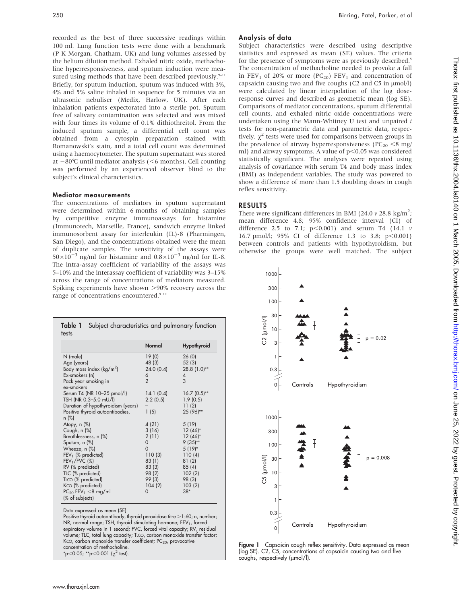recorded as the best of three successive readings within 100 ml. Lung function tests were done with a benchmark (P K Morgan, Chatham, UK) and lung volumes assessed by the helium dilution method. Exhaled nitric oxide, methacholine hyperresponsiveness, and sputum induction were measured using methods that have been described previously.<sup>9-11</sup> Briefly, for sputum induction, sputum was induced with 3%, 4% and 5% saline inhaled in sequence for 5 minutes via an ultrasonic nebuliser (Medix, Harlow, UK). After each inhalation patients expectorated into a sterile pot. Sputum free of salivary contamination was selected and was mixed with four times its volume of 0.1% dithiothreitol. From the induced sputum sample, a differential cell count was obtained from a cytospin preparation stained with Romanowski's stain, and a total cell count was determined using a haemocytometer. The sputum supernatant was stored at  $-80^{\circ}$ C until mediator analysis (<6 months). Cell counting was performed by an experienced observer blind to the subject's clinical characteristics.

#### Mediator measurements

The concentrations of mediators in sputum supernatant were determined within 6 months of obtaining samples by competitive enzyme immunoassays for histamine (Immunotech, Marseille, France), sandwich enzyme linked immunosorbent assay for interleukin (IL)-8 (Pharmingen, San Diego), and the concentrations obtained were the mean of duplicate samples. The sensitivity of the assays were  $50\times10^{-3}$  ng/ml for histamine and  $0.8\times10^{-3}$  ng/ml for IL-8. The intra-assay coefficient of variability of the assays was 5–10% and the interassay coefficient of variability was 3–15% across the range of concentrations of mediators measured. Spiking experiments have shown >90% recovery across the range of concentrations encountered.<sup>9 12</sup>

|                                     | Normal         | <b>Hypothyroid</b> |
|-------------------------------------|----------------|--------------------|
| N (male)                            | 19(0)          | 26(0)              |
| Age (years)                         | 48 (3)         | 52(3)              |
| Body mass index ( $\text{kg/m}^2$ ) | 24.0(0.4)      | 28.8 (1.0)**       |
| Ex-smokers (n)                      | 6              | 4                  |
| Pack year smoking in                | $\overline{2}$ | 3                  |
| ex-smokers                          |                |                    |
| Serum T4 (NR 10-25 pmol/l)          | 14.1(0.4)      | $16.7(0.5)$ **     |
| TSH (NR 0.3-5.0 mU/l)               | 2.2(0.5)       | 1.9(0.5)           |
| Duration of hypothyroidism (years)  |                | 11(2)              |
| Positive thyroid autoantibodies,    | 1(5)           | 25 (96)**          |
| n (%)                               |                |                    |
| Atopy, $n$ $(\%)$                   | 4 (21)         | 5(19)              |
| Cough, n (%)                        | 3(16)          | $12(46)^*$         |
| Breathlessness, n (%)               | 2(11)          | $12(46)^*$         |
| Sputum, n (%)                       | 0              | $9(35)$ **         |
| Wheeze, n (%)                       | $\Omega$       | $5(19)*$           |
| $FEV1$ (% predicted)                | 110(3)         | 110(4)             |
| $FEV1/FVC$ (%)                      | 83(1)          | 81(2)              |
| RV (% predicted)                    | 83(3)          | 85 (4)             |
| TLC (% predicted)                   | 98 (2)         | 102(2)             |
| TLCO (% predicted)                  | 99 (3)         | 98 (3)             |
| Kco (% predicted)                   | 104(2)         | 103(2)             |
| $PC_{20}$ FEV <sub>1</sub> <8 mg/ml | 0              | $38*$              |
| (% of subjects)                     |                |                    |

Data expressed as mean (SE).

Positive thyroid autoantibody, thyroid peroxidase titre >1:60; n, number; NR, normal range; TSH, thyroid stimulating hormone; FEV<sub>1</sub>, forced expiratory volume in 1 second; FVC, forced vital capacity; RV, residual volume; TLC, total lung capacity; TLCO, carbon monoxide transfer factor; Kco, carbon monoxide transfer coefficient; PC $_{20}$ , provocative concentration of methacholine. \*p<0.05; \*\*p<0.001 ( $\chi^2$  test).

### Analysis of data

Subject characteristics were described using descriptive statistics and expressed as mean (SE) values. The criteria for the presence of symptoms were as previously described.<sup>5</sup> The concentration of methacholine needed to provoke a fall in  $FEV_1$  of 20% or more (PC<sub>20</sub>)  $FEV_1$  and concentration of capsaicin causing two and five coughs (C2 and C5 in  $\mu$ mol/l) were calculated by linear interpolation of the log doseresponse curves and described as geometric mean (log SE). Comparisons of mediator concentrations, sputum differential cell counts, and exhaled nitric oxide concentrations were undertaken using the Mann-Whitney U test and unpaired  $t$ tests for non-parametric data and parametric data, respectively.  $\chi^2$  tests were used for comparisons between groups in the prevalence of airway hyperresponsiveness ( $PC_{20}$  <8 mg/ ml) and airway symptoms. A value of  $p<0.05$  was considered statistically significant. The analyses were repeated using analysis of covariance with serum T4 and body mass index (BMI) as independent variables. The study was powered to show a difference of more than 1.5 doubling doses in cough reflex sensitivity.

## RESULTS

There were significant differences in BMI (24.0  $\nu$  28.8 kg/m<sup>2</sup>; mean difference 4.8; 95% confidence interval (CI) of difference 2.5 to 7.1;  $p<0.001$ ) and serum T4 (14.1  $\nu$ 16.7 pmol/l; 95% CI of difference 1.3 to 3.8;  $p<0.001$ ) between controls and patients with hypothyroidism, but otherwise the groups were well matched. The subject



Figure 1 Capsaicin cough reflex sensitivity. Data expressed as mean (log SE). C2, C5, concentrations of capsaicin causing two and five coughs, respectively (umol/l).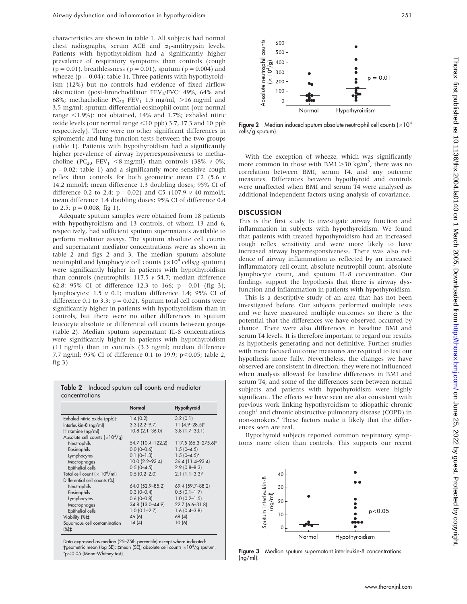characteristics are shown in table 1. All subjects had normal chest radiographs, serum ACE and  $\alpha_1$ -antitrypsin levels. Patients with hypothyroidism had a significantly higher prevalence of respiratory symptoms than controls (cough  $(p = 0.01)$ , breathlessness  $(p = 0.01)$ , sputum  $(p = 0.004)$  and wheeze ( $p = 0.04$ ); table 1). Three patients with hypothyroidism (12%) but no controls had evidence of fixed airflow obstruction (post-bronchodilator FEV<sub>1</sub>/FVC: 49%, 64% and 68%; methacholine  $PC_{20}$  FEV<sub>1</sub> 1.5 mg/ml, >16 mg/ml and 3.5 mg/ml; sputum differential eosinophil count (our normal range  $\langle 1.9\% \rangle$ : not obtained, 14% and 1.7%; exhaled nitric oxide levels (our normal range  $\leq$ 10 ppb) 3.7, 17.3 and 10 ppb respectively). There were no other significant differences in spirometric and lung function tests between the two groups (table 1). Patients with hypothyroidism had a significantly higher prevalence of airway hyperresponsiveness to methacholine (PC<sub>20</sub> FEV<sub>1</sub> <8 mg/ml) than controls (38%  $\nu$  0%;  $p = 0.02$ ; table 1) and a significantly more sensitive cough reflex than controls for both geometric mean C2 (5.6  $\nu$ 14.2 mmol/l; mean difference 1.3 doubling doses; 95% CI of difference 0.2 to 2.4;  $p = 0.02$ ) and C5 (107.9  $\nu$  40 mmol/l; mean difference 1.4 doubling doses; 95% CI of difference 0.4 to 2.5;  $p = 0.008$ ; fig 1).

Adequate sputum samples were obtained from 18 patients with hypothyroidism and 13 controls, of whom 13 and 6, respectively, had sufficient sputum supernatants available to perform mediator assays. The sputum absolute cell counts and supernatant mediator concentrations were as shown in table 2 and figs 2 and 3. The median sputum absolute neutrophil and lymphocyte cell counts ( $\times10^4$  cells/g sputum) were significantly higher in patients with hypothyroidism than controls (neutrophils: 117.5  $\nu$  54.7; median difference 62.8; 95% CI of difference 12.3 to 166;  $p = 0.01$  (fig 3); lymphocytes: 1.5 v 0.1; median difference 1.4; 95% CI of difference 0.1 to 3.3;  $p = 0.02$ ). Sputum total cell counts were significantly higher in patients with hypothyroidism than in controls, but there were no other differences in sputum leucocyte absolute or differential cell counts between groups (table 2). Median sputum supernatant IL-8 concentrations were significantly higher in patients with hypothyroidism (11 ng/ml) than in controls (3.3 ng/ml; median difference 7.7 ng/ml; 95% CI of difference 0.1 to 19.9;  $p<0.05$ ; table 2, fig 3).

|                |  |  | <b>Table 2</b> Induced sputum cell counts and mediator |
|----------------|--|--|--------------------------------------------------------|
| concentrations |  |  |                                                        |

|                                                  | Normal                | Hypothyroid         |
|--------------------------------------------------|-----------------------|---------------------|
| Exhaled nitric oxide (ppb)+                      | 1.4(0.2)              | 3.2(0.1)            |
| Interleukin-8 (ng/ml)                            | $3.3(2.2 - 9.7)$      | $11(4.9-28.5)^{*}$  |
| Histamine (ng/ml)                                | $10.8$ (2.1-36.0)     | $3.8(1.7-33.1)$     |
| Absolute cell counts $(x10^4/g)$                 |                       |                     |
| Neutrophils                                      | 54.7 (10.4-122.2)     | 117.5 (65.3-275.6)* |
| Eosinophils                                      | $0.0$ (0-0.6)         | $1.5(0 - 4.5)$      |
| Lymphocytes                                      | $0.1 (0 - 1.3)$       | $1.5(0-4.5)$ *      |
| Macrophages                                      | $10.0$ $(2.2 - 93.4)$ | 36.4 (11.4-93.4)    |
| Epithelial cells                                 | $0.5(0 - 4.5)$        | $2.9(0.8 - 8.3)$    |
| Total cell count ( $\times$ 10 <sup>6</sup> /ml) | $0.5(0.2 - 2.0)$      | $2.1(1.1-3.3)*$     |
| Differential cell counts (%)                     |                       |                     |
| Neutrophils                                      | 64.0 (52.9-85.2)      | 69.4 (59.7-88.2)    |
| Eosinophils                                      | $0.3(0-0.4)$          | $0.5(0.1 - 1.7)$    |
| Lymphocytes                                      | $0.6(0-0.8)$          | $1.0(0.2 - 1.5)$    |
| Macrophages                                      | 34.8 (13.0-44.9)      | 22.7 (6.6-31.8)     |
| Epithelial cells                                 | $1.0(0.1 - 2.7)$      | $1.6(0.4 - 3.8)$    |
| Viability (%)‡                                   | 46 (6)                | 68 (4)              |
| Squamous cell contamination<br>$(\%)\ddagger$    | 14(4)                 | 10(6)               |

Data expressed as median (25–75th percentile) except where indicated: †geometric mean (log SE); ‡mean (SE); absolute cell counts  $\times 10^4/\text{g}$  sputum.  $*p<0.05$  (Mann-Whitney test).



**Figure 2** Median induced sputum absolute neutrophil cell counts  $(x10<sup>4</sup>)$ cells/g sputum).

With the exception of wheeze, which was significantly more common in those with BMI  $>$ 30 kg/m<sup>2</sup>, there was no correlation between BMI, serum T4, and any outcome measures. Differences between hypothyroid and controls were unaffected when BMI and serum T4 were analysed as additional independent factors using analysis of covariance.

### **DISCUSSION**

This is the first study to investigate airway function and inflammation in subjects with hypothyroidism. We found that patients with treated hypothyroidism had an increased cough reflex sensitivity and were more likely to have increased airway hyperresponsiveness. There was also evidence of airway inflammation as reflected by an increased inflammatory cell count, absolute neutrophil count, absolute lymphocyte count, and sputum IL-8 concentration. Our findings support the hypothesis that there is airway dysfunction and inflammation in patients with hypothyroidism.

This is a descriptive study of an area that has not been investigated before. Our subjects performed multiple tests and we have measured multiple outcomes so there is the potential that the differences we have observed occurred by chance. There were also differences in baseline BMI and serum T4 levels. It is therefore important to regard our results as hypothesis generating and not definitive. Further studies with more focused outcome measures are required to test our hypothesis more fully. Nevertheless, the changes we have observed are consistent in direction; they were not influenced when analysis allowed for baseline differences in BMI and serum T4, and some of the differences seen between normal subjects and patients with hypothyroidism were highly significant. The effects we have seen are also consistent with previous work linking hypothyroidism to idiopathic chronic cough<sup>1</sup> and chronic obstructive pulmonary disease (COPD) in non-smokers.4 These factors make it likely that the differences seen are real.

Hypothyroid subjects reported common respiratory symptoms more often than controls. This supports our recent



Figure 3 Median sputum supernatant interleukin-8 concentrations (ng/ml).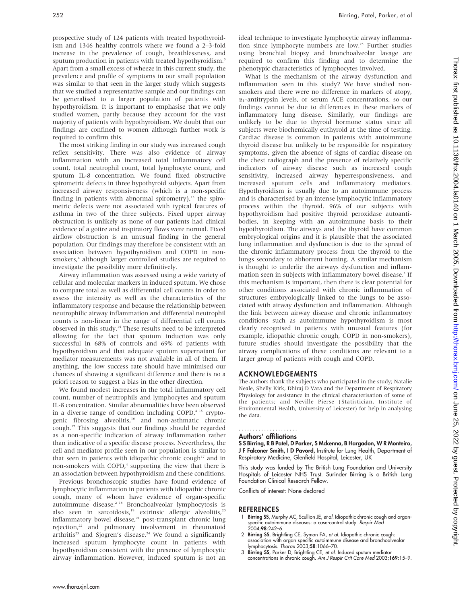prospective study of 124 patients with treated hypothyroidism and 1346 healthy controls where we found a 2–3-fold increase in the prevalence of cough, breathlessness, and sputum production in patients with treated hypothyroidism.<sup>5</sup> Apart from a small excess of wheeze in this current study, the prevalence and profile of symptoms in our small population was similar to that seen in the larger study which suggests that we studied a representative sample and our findings can be generalised to a larger population of patients with hypothyroidism. It is important to emphasise that we only studied women, partly because they account for the vast majority of patients with hypothyroidism. We doubt that our findings are confined to women although further work is required to confirm this.

The most striking finding in our study was increased cough reflex sensitivity. There was also evidence of airway inflammation with an increased total inflammatory cell count, total neutrophil count, total lymphocyte count, and sputum IL-8 concentration. We found fixed obstructive spirometric defects in three hypothyroid subjects. Apart from increased airway responsiveness (which is a non-specific finding in patients with abnormal spirometry), $13$  the spirometric defects were not associated with typical features of asthma in two of the three subjects. Fixed upper airway obstruction is unlikely as none of our patients had clinical evidence of a goitre and inspiratory flows were normal. Fixed airflow obstruction is an unusual finding in the general population. Our findings may therefore be consistent with an association between hypothyroidism and COPD in nonsmokers,<sup>4</sup> although larger controlled studies are required to investigate the possibility more definitively.

Airway inflammation was assessed using a wide variety of cellular and molecular markers in induced sputum. We chose to compare total as well as differential cell counts in order to assess the intensity as well as the characteristics of the inflammatory response and because the relationship between neutrophilic airway inflammation and differential neutrophil counts is non-linear in the range of differential cell counts observed in this study.14 These results need to be interpreted allowing for the fact that sputum induction was only successful in 68% of controls and 69% of patients with hypothyroidism and that adequate sputum supernatant for mediator measurements was not available in all of them. If anything, the low success rate should have minimised our chances of showing a significant difference and there is no a priori reason to suggest a bias in the other direction.

We found modest increases in the total inflammatory cell count, number of neutrophils and lymphocytes and sputum IL-8 concentration. Similar abnormalities have been observed in a diverse range of condition including  $COPD<sub>1</sub><sup>4-15</sup>$  cryptogenic fibrosing alveolitis,<sup>16</sup> and non-asthmatic chronic cough.17 This suggests that our findings should be regarded as a non-specific indication of airway inflammation rather than indicative of a specific disease process. Nevertheless, the cell and mediator profile seen in our population is similar to that seen in patients with idiopathic chronic cough<sup>17</sup> and in non-smokers with COPD,<sup>4</sup> supporting the view that there is an association between hypothyroidism and these conditions.

Previous bronchoscopic studies have found evidence of lymphocytic inflammation in patients with idiopathic chronic cough, many of whom have evidence of organ-specific autoimmune disease.2 18 Bronchoalveolar lymphocytosis is also seen in sarcoidosis,<sup>19</sup> extrinsic allergic alveolitis,<sup>20</sup> inflammatory bowel disease,<sup>21</sup> post-transplant chronic lung rejection,<sup>22</sup> and pulmonary involvement in rheumatoid arthritis<sup>23</sup> and Sjogren's disease.<sup>24</sup> We found a significantly increased sputum lymphocyte count in patients with hypothyroidism consistent with the presence of lymphocytic airway inflammation. However, induced sputum is not an ideal technique to investigate lymphocytic airway inflammation since lymphocyte numbers are low.<sup>25</sup> Further studies using bronchial biopsy and bronchoalveolar lavage are required to confirm this finding and to determine the phenotypic characteristics of lymphocytes involved.

What is the mechanism of the airway dysfunction and inflammation seen in this study? We have studied nonsmokers and there were no difference in markers of atopy,  $\alpha_1$ -antitrypsin levels, or serum ACE concentrations, so our findings cannot be due to differences in these markers of inflammatory lung disease. Similarly, our findings are unlikely to be due to thyroid hormone status since all subjects were biochemically euthyroid at the time of testing. Cardiac disease is common in patients with autoimmune thyroid disease but unlikely to be responsible for respiratory symptoms, given the absence of signs of cardiac disease on the chest radiograph and the presence of relatively specific indicators of airway disease such as increased cough sensitivity, increased airway hyperresponsiveness, and increased sputum cells and inflammatory mediators. Hypothyroidism is usually due to an autoimmune process and is characterised by an intense lymphocytic inflammatory process within the thyroid. 96% of our subjects with hypothyroidism had positive thyroid peroxidase autoantibodies, in keeping with an autoimmune basis to their hypothyroidism. The airways and the thyroid have common embryological origins and it is plausible that the associated lung inflammation and dysfunction is due to the spread of the chronic inflammatory process from the thyroid to the lungs secondary to abhorrent homing. A similar mechanism is thought to underlie the airways dysfunction and inflammation seen in subjects with inflammatory bowel disease.<sup>5</sup> If this mechanism is important, then there is clear potential for other conditions associated with chronic inflammation of structures embryologically linked to the lungs to be associated with airway dysfunction and inflammation. Although the link between airway disease and chronic inflammatory conditions such as autoimmune hypothyroidism is most clearly recognised in patients with unusual features (for example, idiopathic chronic cough, COPD in non-smokers), future studies should investigate the possibility that the airway complications of these conditions are relevant to a larger group of patients with cough and COPD.

#### ACKNOWLEDGEMENTS

The authors thank the subjects who participated in the study; Natalie Neale, Shelly Kirk, Dhiraj D Vara and the Department of Respiratory Physiology for assistance in the clinical characterisation of some of the patients; and Neville Pierse (Statistician, Institute of Environmental Health, University of Leicester) for help in analysing the data.

#### Authors' affiliations .....................

S S Birring, R B Patel, D Parker, S Mckenna, B Hargadon, W R Monteiro, J F Falconer Smith, I D Pavord, Institute for Lung Health, Department of Respiratory Medicine, Glenfield Hospital, Leicester, UK

This study was funded by The British Lung Foundation and University Hospitals of Leicester NHS Trust. Surinder Birring is a British Lung Foundation Clinical Research Fellow.

Conflicts of interest: None declared

#### **REFERENCES**

- 1 Birring SS, Murphy AC, Scullion JE, et al. Idiopathic chronic cough and organspecific autoimmune diseases: a case-control study. Respir Med 2004;98:242–6.
- 2 Birring SS, Brightling CE, Symon FA, et al. Idiopathic chronic cough: association with organ specific autoimmune disease and bronchoalveolar<br>lymphocytosis. *Thorax* 2003;**58**:1066–70.
- 3 Birring SS, Parker D, Brightling CE, et al. Induced sputum mediator concentrations in chronic cough. Am J Respir Crit Care Med 2003;169:15–9.